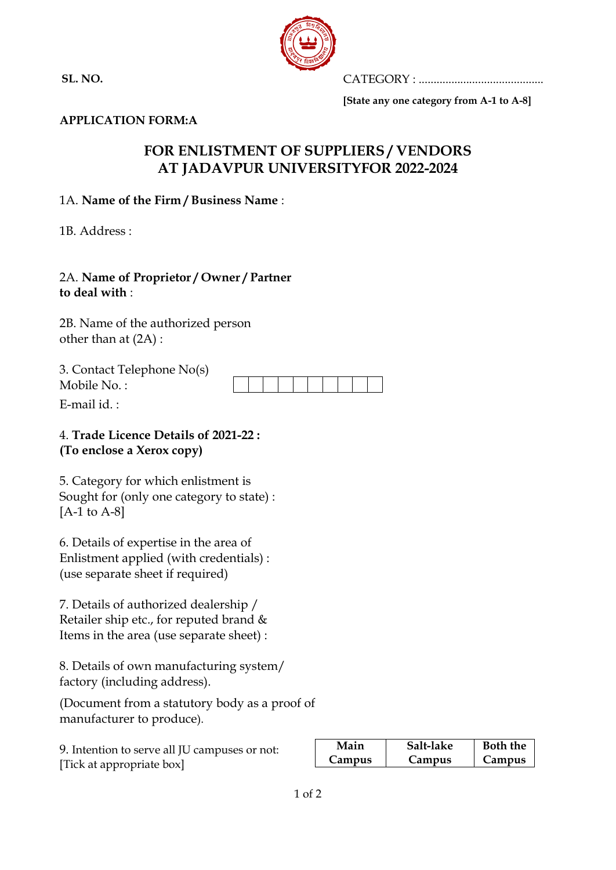**SL. NO.**



CATEGORY : ..........................................

**[State any one category from A-1 to A-8]**

#### **APPLICATION FORM:A**

# **FOR ENLISTMENT OF SUPPLIERS / VENDORS AT JADAVPUR UNIVERSITYFOR 2022-2024**

### 1A. **Name of the Firm / Business Name** :

1B. Address :

#### 2A. **Name of Proprietor / Owner / Partner to deal with** :

2B. Name of the authorized person other than at (2A) :

| 3. Contact Telephone No(s) |  |  |  |  |  |
|----------------------------|--|--|--|--|--|
| Mobile No.:                |  |  |  |  |  |

E-mail id.  $\cdot$ 

### 4. **Trade Licence Details of 2021-22 : (To enclose a Xerox copy)**

5. Category for which enlistment is Sought for (only one category to state) : [A-1 to A-8]

6. Details of expertise in the area of Enlistment applied (with credentials) : (use separate sheet if required)

7. Details of authorized dealership / Retailer ship etc., for reputed brand & Items in the area (use separate sheet) :

8. Details of own manufacturing system/ factory (including address).

(Document from a statutory body as a proof of manufacturer to produce).

| 9. Intention to serve all JU campuses or not: |  |
|-----------------------------------------------|--|
| [Tick at appropriate box]                     |  |

| Main          | Salt-lake | <b>Both the</b> |
|---------------|-----------|-----------------|
| <b>Campus</b> | Campus    | <b>Campus</b>   |